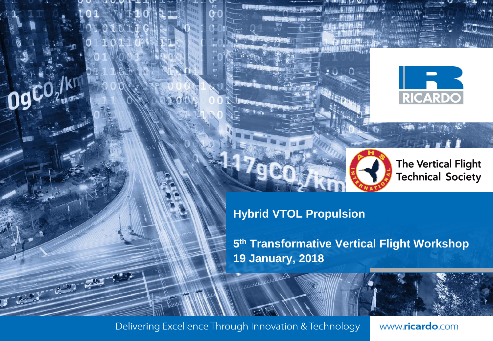



**The Vertical Flight Technical Society** 

**Hybrid VTOL Propulsion**

**5 th Transformative Vertical Flight Workshop 19 January, 2018**

th Transformative Vertical Flight Workshop January 2018 © Ricardo plc 2017 1

Delivering Excellence Through Innovation & Technology

**PARTY READY** 

ишин

www.ricardo.com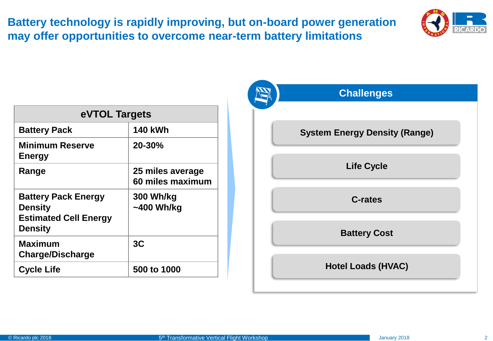**Battery technology is rapidly improving, but on-board power generation may offer opportunities to overcome near-term battery limitations** 



| eVTOL Targets                                                                                  |                                      |
|------------------------------------------------------------------------------------------------|--------------------------------------|
| <b>Battery Pack</b>                                                                            | <b>140 kWh</b>                       |
| <b>Minimum Reserve</b><br><b>Energy</b>                                                        | 20-30%                               |
| Range                                                                                          | 25 miles average<br>60 miles maximum |
| <b>Battery Pack Energy</b><br><b>Density</b><br><b>Estimated Cell Energy</b><br><b>Density</b> | 300 Wh/kg<br>$~1400$ Wh/kg           |
| Maximum<br><b>Charge/Discharge</b>                                                             | 3 <sub>C</sub>                       |
| <b>Cycle Life</b>                                                                              | 500 to 1000                          |

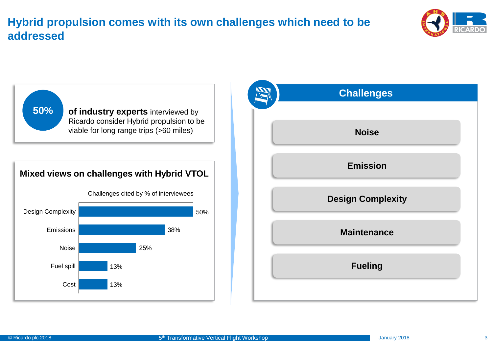## **Hybrid propulsion comes with its own challenges which need to be addressed**